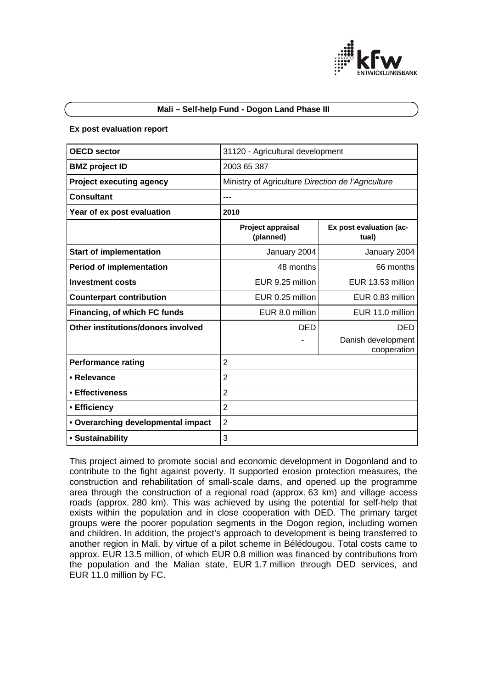

# **Mali – Self-help Fund - Dogon Land Phase III**

#### **Ex post evaluation report**

| <b>OECD sector</b>                 | 31120 - Agricultural development                   |                                   |
|------------------------------------|----------------------------------------------------|-----------------------------------|
| <b>BMZ</b> project ID              | 2003 65 387                                        |                                   |
| <b>Project executing agency</b>    | Ministry of Agriculture Direction de l'Agriculture |                                   |
| <b>Consultant</b>                  | ---                                                |                                   |
| Year of ex post evaluation         | 2010                                               |                                   |
|                                    | Project appraisal<br>(planned)                     | Ex post evaluation (ac-<br>tual)  |
| <b>Start of implementation</b>     | January 2004                                       | January 2004                      |
| <b>Period of implementation</b>    | 48 months                                          | 66 months                         |
| <b>Investment costs</b>            | EUR 9.25 million                                   | EUR 13.53 million                 |
| <b>Counterpart contribution</b>    | EUR 0.25 million                                   | EUR 0.83 million                  |
| Financing, of which FC funds       | EUR 8.0 million                                    | EUR 11.0 million                  |
| Other institutions/donors involved | <b>DED</b>                                         | <b>DED</b>                        |
|                                    |                                                    | Danish development<br>cooperation |
| <b>Performance rating</b>          | $\overline{2}$                                     |                                   |
| • Relevance                        | $\overline{2}$                                     |                                   |
| • Effectiveness                    | $\overline{2}$                                     |                                   |
| • Efficiency                       | $\overline{2}$                                     |                                   |
| • Overarching developmental impact | $\overline{2}$                                     |                                   |
| • Sustainability                   | 3                                                  |                                   |

This project aimed to promote social and economic development in Dogonland and to contribute to the fight against poverty. It supported erosion protection measures, the construction and rehabilitation of small-scale dams, and opened up the programme area through the construction of a regional road (approx. 63 km) and village access roads (approx. 280 km). This was achieved by using the potential for self-help that exists within the population and in close cooperation with DED. The primary target groups were the poorer population segments in the Dogon region, including women and children. In addition, the project's approach to development is being transferred to another region in Mali, by virtue of a pilot scheme in Bélédougou. Total costs came to approx. EUR 13.5 million, of which EUR 0.8 million was financed by contributions from the population and the Malian state, EUR 1.7 million through DED services, and EUR 11.0 million by FC.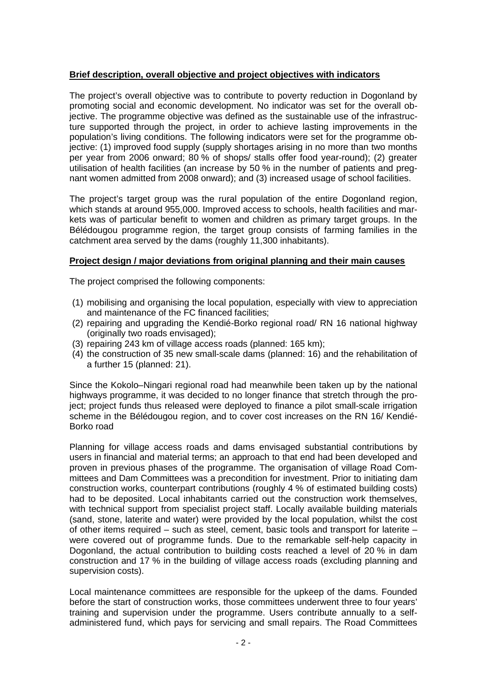# **Brief description, overall objective and project objectives with indicators**

The project's overall objective was to contribute to poverty reduction in Dogonland by promoting social and economic development. No indicator was set for the overall objective. The programme objective was defined as the sustainable use of the infrastructure supported through the project, in order to achieve lasting improvements in the population's living conditions. The following indicators were set for the programme objective: (1) improved food supply (supply shortages arising in no more than two months per year from 2006 onward; 80 % of shops/ stalls offer food year-round); (2) greater utilisation of health facilities (an increase by 50 % in the number of patients and pregnant women admitted from 2008 onward); and (3) increased usage of school facilities.

The project's target group was the rural population of the entire Dogonland region, which stands at around 955,000. Improved access to schools, health facilities and markets was of particular benefit to women and children as primary target groups. In the Bélédougou programme region, the target group consists of farming families in the catchment area served by the dams (roughly 11,300 inhabitants).

# **Project design / major deviations from original planning and their main causes**

The project comprised the following components:

- (1) mobilising and organising the local population, especially with view to appreciation and maintenance of the FC financed facilities;
- (2) repairing and upgrading the Kendié-Borko regional road/ RN 16 national highway (originally two roads envisaged);
- (3) repairing 243 km of village access roads (planned: 165 km);
- (4) the construction of 35 new small-scale dams (planned: 16) and the rehabilitation of a further 15 (planned: 21).

Since the Kokolo–Ningari regional road had meanwhile been taken up by the national highways programme, it was decided to no longer finance that stretch through the project; project funds thus released were deployed to finance a pilot small-scale irrigation scheme in the Bélédougou region, and to cover cost increases on the RN 16/ Kendié-Borko road

Planning for village access roads and dams envisaged substantial contributions by users in financial and material terms; an approach to that end had been developed and proven in previous phases of the programme. The organisation of village Road Committees and Dam Committees was a precondition for investment. Prior to initiating dam construction works, counterpart contributions (roughly 4 % of estimated building costs) had to be deposited. Local inhabitants carried out the construction work themselves, with technical support from specialist project staff. Locally available building materials (sand, stone, laterite and water) were provided by the local population, whilst the cost of other items required – such as steel, cement, basic tools and transport for laterite – were covered out of programme funds. Due to the remarkable self-help capacity in Dogonland, the actual contribution to building costs reached a level of 20 % in dam construction and 17 % in the building of village access roads (excluding planning and supervision costs).

Local maintenance committees are responsible for the upkeep of the dams. Founded before the start of construction works, those committees underwent three to four years' training and supervision under the programme. Users contribute annually to a selfadministered fund, which pays for servicing and small repairs. The Road Committees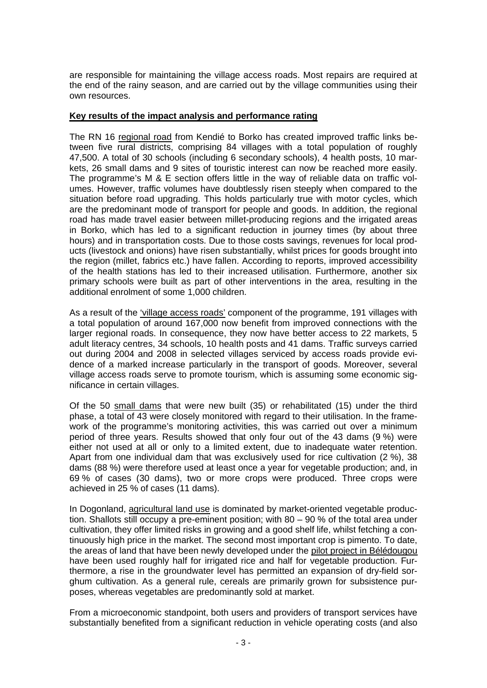are responsible for maintaining the village access roads. Most repairs are required at the end of the rainy season, and are carried out by the village communities using their own resources.

# **Key results of the impact analysis and performance rating**

The RN 16 regional road from Kendié to Borko has created improved traffic links between five rural districts, comprising 84 villages with a total population of roughly 47,500. A total of 30 schools (including 6 secondary schools), 4 health posts, 10 markets, 26 small dams and 9 sites of touristic interest can now be reached more easily. The programme's M & E section offers little in the way of reliable data on traffic volumes. However, traffic volumes have doubtlessly risen steeply when compared to the situation before road upgrading. This holds particularly true with motor cycles, which are the predominant mode of transport for people and goods. In addition, the regional road has made travel easier between millet-producing regions and the irrigated areas in Borko, which has led to a significant reduction in journey times (by about three hours) and in transportation costs. Due to those costs savings, revenues for local products (livestock and onions) have risen substantially, whilst prices for goods brought into the region (millet, fabrics etc.) have fallen. According to reports, improved accessibility of the health stations has led to their increased utilisation. Furthermore, another six primary schools were built as part of other interventions in the area, resulting in the additional enrolment of some 1,000 children.

As a result of the 'village access roads' component of the programme, 191 villages with a total population of around 167,000 now benefit from improved connections with the larger regional roads. In consequence, they now have better access to 22 markets, 5 adult literacy centres, 34 schools, 10 health posts and 41 dams. Traffic surveys carried out during 2004 and 2008 in selected villages serviced by access roads provide evidence of a marked increase particularly in the transport of goods. Moreover, several village access roads serve to promote tourism, which is assuming some economic significance in certain villages.

Of the 50 small dams that were new built (35) or rehabilitated (15) under the third phase, a total of 43 were closely monitored with regard to their utilisation. In the framework of the programme's monitoring activities, this was carried out over a minimum period of three years. Results showed that only four out of the 43 dams (9 %) were either not used at all or only to a limited extent, due to inadequate water retention. Apart from one individual dam that was exclusively used for rice cultivation (2 %), 38 dams (88 %) were therefore used at least once a year for vegetable production; and, in 69 % of cases (30 dams), two or more crops were produced. Three crops were achieved in 25 % of cases (11 dams).

In Dogonland, agricultural land use is dominated by market-oriented vegetable production. Shallots still occupy a pre-eminent position; with 80 – 90 % of the total area under cultivation, they offer limited risks in growing and a good shelf life, whilst fetching a continuously high price in the market. The second most important crop is pimento. To date, the areas of land that have been newly developed under the pilot project in Bélédougou have been used roughly half for irrigated rice and half for vegetable production. Furthermore, a rise in the groundwater level has permitted an expansion of dry-field sorghum cultivation. As a general rule, cereals are primarily grown for subsistence purposes, whereas vegetables are predominantly sold at market.

From a microeconomic standpoint, both users and providers of transport services have substantially benefited from a significant reduction in vehicle operating costs (and also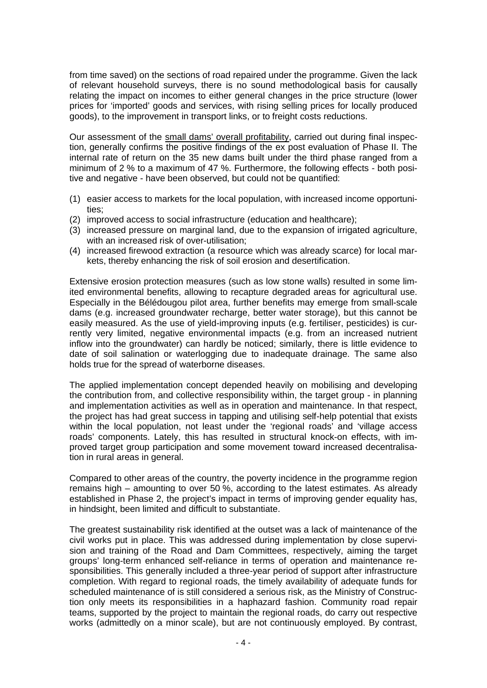from time saved) on the sections of road repaired under the programme. Given the lack of relevant household surveys, there is no sound methodological basis for causally relating the impact on incomes to either general changes in the price structure (lower prices for 'imported' goods and services, with rising selling prices for locally produced goods), to the improvement in transport links, or to freight costs reductions.

Our assessment of the small dams' overall profitability, carried out during final inspection, generally confirms the positive findings of the ex post evaluation of Phase II. The internal rate of return on the 35 new dams built under the third phase ranged from a minimum of 2 % to a maximum of 47 %. Furthermore, the following effects - both positive and negative - have been observed, but could not be quantified:

- (1) easier access to markets for the local population, with increased income opportunities;
- (2) improved access to social infrastructure (education and healthcare);
- (3) increased pressure on marginal land, due to the expansion of irrigated agriculture, with an increased risk of over-utilisation:
- (4) increased firewood extraction (a resource which was already scarce) for local markets, thereby enhancing the risk of soil erosion and desertification.

Extensive erosion protection measures (such as low stone walls) resulted in some limited environmental benefits, allowing to recapture degraded areas for agricultural use. Especially in the Bélédougou pilot area, further benefits may emerge from small-scale dams (e.g. increased groundwater recharge, better water storage), but this cannot be easily measured. As the use of yield-improving inputs (e.g. fertiliser, pesticides) is currently very limited, negative environmental impacts (e.g. from an increased nutrient inflow into the groundwater) can hardly be noticed; similarly, there is little evidence to date of soil salination or waterlogging due to inadequate drainage. The same also holds true for the spread of waterborne diseases.

The applied implementation concept depended heavily on mobilising and developing the contribution from, and collective responsibility within, the target group - in planning and implementation activities as well as in operation and maintenance. In that respect, the project has had great success in tapping and utilising self-help potential that exists within the local population, not least under the 'regional roads' and 'village access roads' components. Lately, this has resulted in structural knock-on effects, with improved target group participation and some movement toward increased decentralisation in rural areas in general.

Compared to other areas of the country, the poverty incidence in the programme region remains high – amounting to over 50 %, according to the latest estimates. As already established in Phase 2, the project's impact in terms of improving gender equality has, in hindsight, been limited and difficult to substantiate.

The greatest sustainability risk identified at the outset was a lack of maintenance of the civil works put in place. This was addressed during implementation by close supervision and training of the Road and Dam Committees, respectively, aiming the target groups' long-term enhanced self-reliance in terms of operation and maintenance responsibilities. This generally included a three-year period of support after infrastructure completion. With regard to regional roads, the timely availability of adequate funds for scheduled maintenance of is still considered a serious risk, as the Ministry of Construction only meets its responsibilities in a haphazard fashion. Community road repair teams, supported by the project to maintain the regional roads, do carry out respective works (admittedly on a minor scale), but are not continuously employed. By contrast,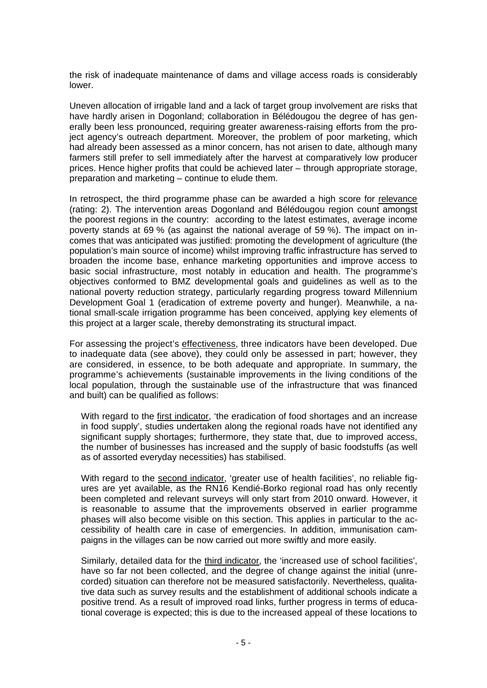the risk of inadequate maintenance of dams and village access roads is considerably lower.

Uneven allocation of irrigable land and a lack of target group involvement are risks that have hardly arisen in Dogonland; collaboration in Bélédougou the degree of has generally been less pronounced, requiring greater awareness-raising efforts from the project agency's outreach department. Moreover, the problem of poor marketing, which had already been assessed as a minor concern, has not arisen to date, although many farmers still prefer to sell immediately after the harvest at comparatively low producer prices. Hence higher profits that could be achieved later – through appropriate storage, preparation and marketing – continue to elude them.

In retrospect, the third programme phase can be awarded a high score for relevance (rating: 2). The intervention areas Dogonland and Bélédougou region count amongst the poorest regions in the country: according to the latest estimates, average income poverty stands at 69 % (as against the national average of 59 %). The impact on incomes that was anticipated was justified: promoting the development of agriculture (the population's main source of income) whilst improving traffic infrastructure has served to broaden the income base, enhance marketing opportunities and improve access to basic social infrastructure, most notably in education and health. The programme's objectives conformed to BMZ developmental goals and guidelines as well as to the national poverty reduction strategy, particularly regarding progress toward Millennium Development Goal 1 (eradication of extreme poverty and hunger). Meanwhile, a national small-scale irrigation programme has been conceived, applying key elements of this project at a larger scale, thereby demonstrating its structural impact.

For assessing the project's effectiveness, three indicators have been developed. Due to inadequate data (see above), they could only be assessed in part; however, they are considered, in essence, to be both adequate and appropriate. In summary, the programme's achievements (sustainable improvements in the living conditions of the local population, through the sustainable use of the infrastructure that was financed and built) can be qualified as follows:

With regard to the first indicator, 'the eradication of food shortages and an increase in food supply', studies undertaken along the regional roads have not identified any significant supply shortages; furthermore, they state that, due to improved access, the number of businesses has increased and the supply of basic foodstuffs (as well as of assorted everyday necessities) has stabilised.

With regard to the second indicator, 'greater use of health facilities', no reliable figures are yet available, as the RN16 Kendié-Borko regional road has only recently been completed and relevant surveys will only start from 2010 onward. However, it is reasonable to assume that the improvements observed in earlier programme phases will also become visible on this section. This applies in particular to the accessibility of health care in case of emergencies. In addition, immunisation campaigns in the villages can be now carried out more swiftly and more easily.

Similarly, detailed data for the third indicator, the 'increased use of school facilities', have so far not been collected, and the degree of change against the initial (unrecorded) situation can therefore not be measured satisfactorily. Nevertheless, qualitative data such as survey results and the establishment of additional schools indicate a positive trend. As a result of improved road links, further progress in terms of educational coverage is expected; this is due to the increased appeal of these locations to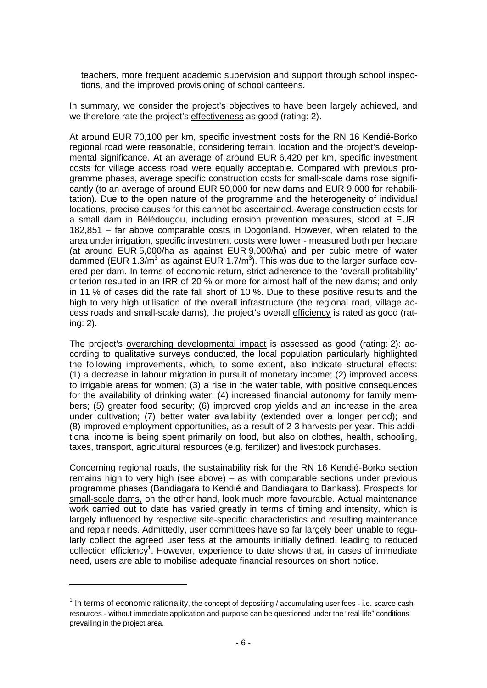teachers, more frequent academic supervision and support through school inspections, and the improved provisioning of school canteens.

In summary, we consider the project's objectives to have been largely achieved, and we therefore rate the project's effectiveness as good (rating: 2).

At around EUR 70,100 per km, specific investment costs for the RN 16 Kendié-Borko regional road were reasonable, considering terrain, location and the project's developmental significance. At an average of around EUR 6,420 per km, specific investment costs for village access road were equally acceptable. Compared with previous programme phases, average specific construction costs for small-scale dams rose significantly (to an average of around EUR 50,000 for new dams and EUR 9,000 for rehabilitation). Due to the open nature of the programme and the heterogeneity of individual locations, precise causes for this cannot be ascertained. Average construction costs for a small dam in Bélédougou, including erosion prevention measures, stood at EUR 182,851 – far above comparable costs in Dogonland. However, when related to the area under irrigation, specific investment costs were lower - measured both per hectare (at around EUR 5,000/ha as against EUR 9,000/ha) and per cubic metre of water dammed (EUR 1.3/m<sup>3</sup> as against EUR 1.7/m<sup>3</sup>). This was due to the larger surface covered per dam. In terms of economic return, strict adherence to the 'overall profitability' criterion resulted in an IRR of 20 % or more for almost half of the new dams; and only in 11 % of cases did the rate fall short of 10 %. Due to these positive results and the high to very high utilisation of the overall infrastructure (the regional road, village access roads and small-scale dams), the project's overall efficiency is rated as good (rating: 2).

The project's overarching developmental impact is assessed as good (rating: 2): according to qualitative surveys conducted, the local population particularly highlighted the following improvements, which, to some extent, also indicate structural effects: (1) a decrease in labour migration in pursuit of monetary income; (2) improved access to irrigable areas for women; (3) a rise in the water table, with positive consequences for the availability of drinking water; (4) increased financial autonomy for family members; (5) greater food security; (6) improved crop yields and an increase in the area under cultivation; (7) better water availability (extended over a longer period); and (8) improved employment opportunities, as a result of 2-3 harvests per year. This additional income is being spent primarily on food, but also on clothes, health, schooling, taxes, transport, agricultural resources (e.g. fertilizer) and livestock purchases.

Concerning regional roads, the sustainability risk for the RN 16 Kendié-Borko section remains high to very high (see above) – as with comparable sections under previous programme phases (Bandiagara to Kendié and Bandiagara to Bankass). Prospects for small-scale dams, on the other hand, look much more favourable. Actual maintenance work carried out to date has varied greatly in terms of timing and intensity, which is largely influenced by respective site-specific characteristics and resulting maintenance and repair needs. Admittedly, user committees have so far largely been unable to regularly collect the agreed user fess at the amounts initially defined, leading to reduced collection efficiency<sup>1</sup>. However, experience to date shows that, in cases of immediate need, users are able to mobilise adequate financial resources on short notice.

 $1$  In terms of economic rationality, the concept of depositing / accumulating user fees - i.e. scarce cash resources - without immediate application and purpose can be questioned under the "real life" conditions prevailing in the project area.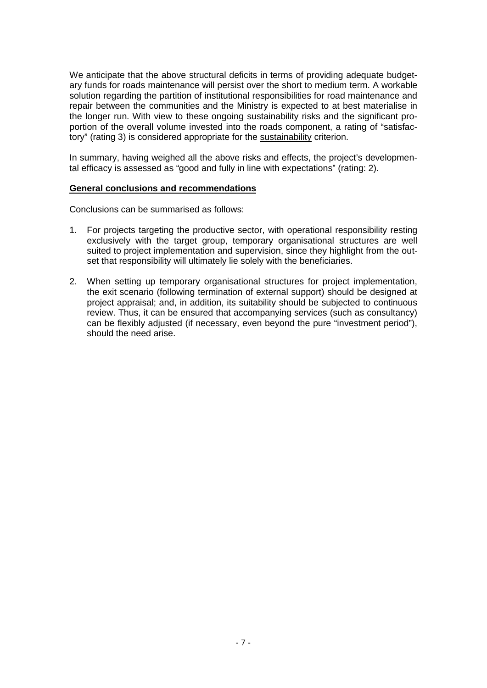We anticipate that the above structural deficits in terms of providing adequate budgetary funds for roads maintenance will persist over the short to medium term. A workable solution regarding the partition of institutional responsibilities for road maintenance and repair between the communities and the Ministry is expected to at best materialise in the longer run. With view to these ongoing sustainability risks and the significant proportion of the overall volume invested into the roads component, a rating of "satisfactory" (rating 3) is considered appropriate for the sustainability criterion.

In summary, having weighed all the above risks and effects, the project's developmental efficacy is assessed as "good and fully in line with expectations" (rating: 2).

# **General conclusions and recommendations**

Conclusions can be summarised as follows:

- 1. For projects targeting the productive sector, with operational responsibility resting exclusively with the target group, temporary organisational structures are well suited to project implementation and supervision, since they highlight from the outset that responsibility will ultimately lie solely with the beneficiaries.
- 2. When setting up temporary organisational structures for project implementation, the exit scenario (following termination of external support) should be designed at project appraisal; and, in addition, its suitability should be subjected to continuous review. Thus, it can be ensured that accompanying services (such as consultancy) can be flexibly adjusted (if necessary, even beyond the pure "investment period"), should the need arise.